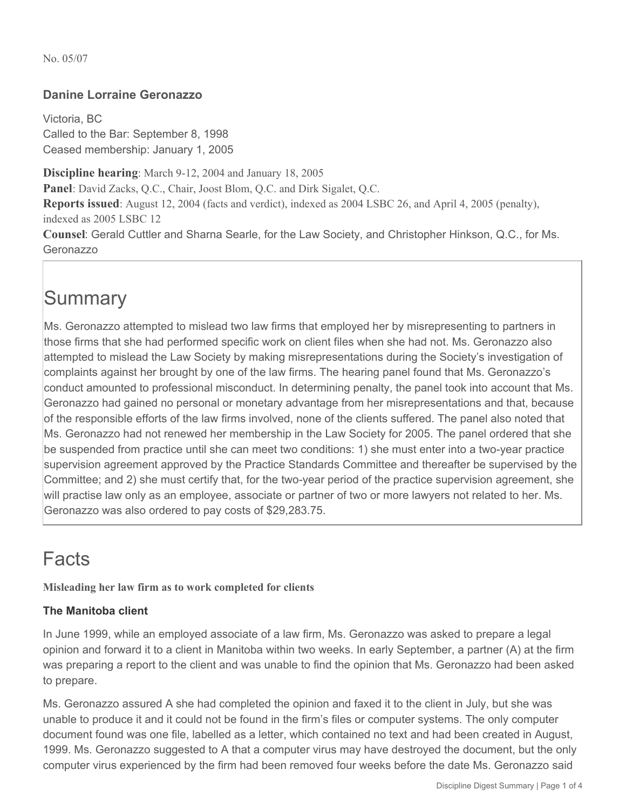### **Danine Lorraine Geronazzo**

Victoria, BC Called to the Bar: September 8, 1998 Ceased membership: January 1, 2005

**Discipline hearing**: March 9-12, 2004 and January 18, 2005

**Panel**: David Zacks, Q.C., Chair, Joost Blom, Q.C. and Dirk Sigalet, Q.C.

**Reports issued**: August 12, 2004 (facts and verdict), indexed as 2004 LSBC 26, and April 4, 2005 (penalty), indexed as 2005 LSBC 12

**Counsel**: Gerald Cuttler and Sharna Searle, for the Law Society, and Christopher Hinkson, Q.C., for Ms. Geronazzo

### **Summary**

Ms. Geronazzo attempted to mislead two law firms that employed her by misrepresenting to partners in those firms that she had performed specific work on client files when she had not. Ms. Geronazzo also attempted to mislead the Law Society by making misrepresentations during the Society's investigation of complaints against her brought by one of the law firms. The hearing panel found that Ms. Geronazzo's conduct amounted to professional misconduct. In determining penalty, the panel took into account that Ms. Geronazzo had gained no personal or monetary advantage from her misrepresentations and that, because of the responsible efforts of the law firms involved, none of the clients suffered. The panel also noted that Ms. Geronazzo had not renewed her membership in the Law Society for 2005. The panel ordered that she be suspended from practice until she can meet two conditions: 1) she must enter into a two-year practice supervision agreement approved by the Practice Standards Committee and thereafter be supervised by the Committee; and 2) she must certify that, for the two-year period of the practice supervision agreement, she will practise law only as an employee, associate or partner of two or more lawyers not related to her. Ms. Geronazzo was also ordered to pay costs of \$29,283.75.

# Facts

**Misleading her law firm as to work completed for clients** 

### **The Manitoba client**

In June 1999, while an employed associate of a law firm, Ms. Geronazzo was asked to prepare a legal opinion and forward it to a client in Manitoba within two weeks. In early September, a partner (A) at the firm was preparing a report to the client and was unable to find the opinion that Ms. Geronazzo had been asked to prepare.

Ms. Geronazzo assured A she had completed the opinion and faxed it to the client in July, but she was unable to produce it and it could not be found in the firm's files or computer systems. The only computer document found was one file, labelled as a letter, which contained no text and had been created in August, 1999. Ms. Geronazzo suggested to A that a computer virus may have destroyed the document, but the only computer virus experienced by the firm had been removed four weeks before the date Ms. Geronazzo said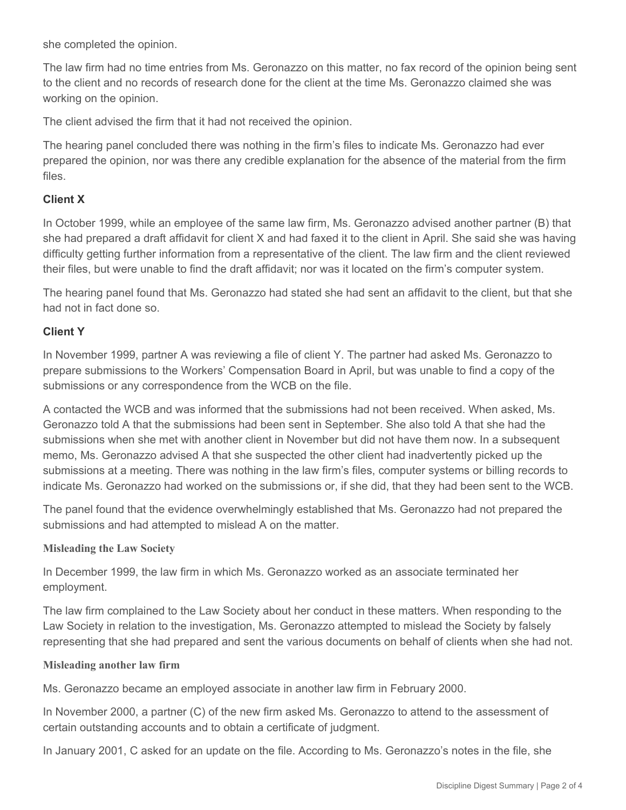she completed the opinion.

The law firm had no time entries from Ms. Geronazzo on this matter, no fax record of the opinion being sent to the client and no records of research done for the client at the time Ms. Geronazzo claimed she was working on the opinion.

The client advised the firm that it had not received the opinion.

The hearing panel concluded there was nothing in the firm's files to indicate Ms. Geronazzo had ever prepared the opinion, nor was there any credible explanation for the absence of the material from the firm files.

#### **Client X**

In October 1999, while an employee of the same law firm, Ms. Geronazzo advised another partner (B) that she had prepared a draft affidavit for client X and had faxed it to the client in April. She said she was having difficulty getting further information from a representative of the client. The law firm and the client reviewed their files, but were unable to find the draft affidavit; nor was it located on the firm's computer system.

The hearing panel found that Ms. Geronazzo had stated she had sent an affidavit to the client, but that she had not in fact done so.

#### **Client Y**

In November 1999, partner A was reviewing a file of client Y. The partner had asked Ms. Geronazzo to prepare submissions to the Workers' Compensation Board in April, but was unable to find a copy of the submissions or any correspondence from the WCB on the file.

A contacted the WCB and was informed that the submissions had not been received. When asked, Ms. Geronazzo told A that the submissions had been sent in September. She also told A that she had the submissions when she met with another client in November but did not have them now. In a subsequent memo, Ms. Geronazzo advised A that she suspected the other client had inadvertently picked up the submissions at a meeting. There was nothing in the law firm's files, computer systems or billing records to indicate Ms. Geronazzo had worked on the submissions or, if she did, that they had been sent to the WCB.

The panel found that the evidence overwhelmingly established that Ms. Geronazzo had not prepared the submissions and had attempted to mislead A on the matter.

#### **Misleading the Law Society**

In December 1999, the law firm in which Ms. Geronazzo worked as an associate terminated her employment.

The law firm complained to the Law Society about her conduct in these matters. When responding to the Law Society in relation to the investigation, Ms. Geronazzo attempted to mislead the Society by falsely representing that she had prepared and sent the various documents on behalf of clients when she had not.

#### **Misleading another law firm**

Ms. Geronazzo became an employed associate in another law firm in February 2000.

In November 2000, a partner (C) of the new firm asked Ms. Geronazzo to attend to the assessment of certain outstanding accounts and to obtain a certificate of judgment.

In January 2001, C asked for an update on the file. According to Ms. Geronazzo's notes in the file, she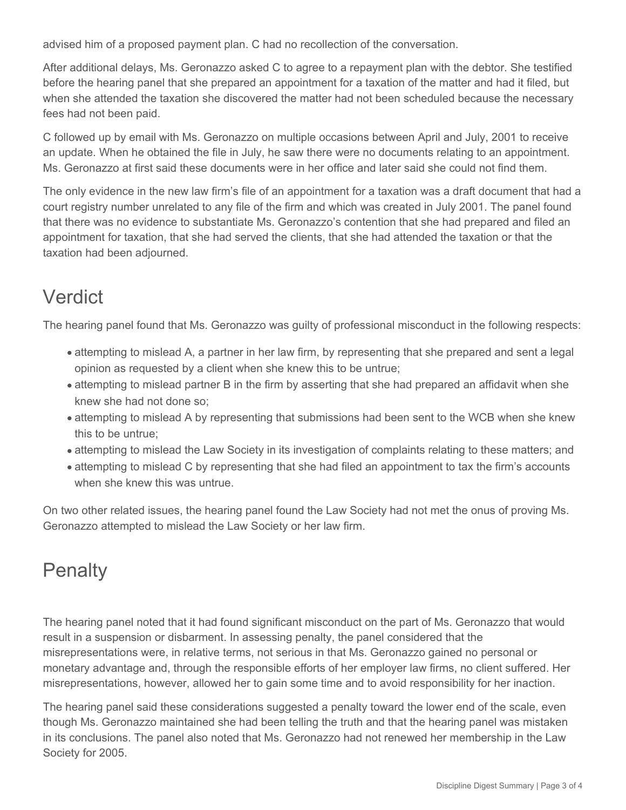advised him of a proposed payment plan. C had no recollection of the conversation.

After additional delays, Ms. Geronazzo asked C to agree to a repayment plan with the debtor. She testified before the hearing panel that she prepared an appointment for a taxation of the matter and had it filed, but when she attended the taxation she discovered the matter had not been scheduled because the necessary fees had not been paid.

C followed up by email with Ms. Geronazzo on multiple occasions between April and July, 2001 to receive an update. When he obtained the file in July, he saw there were no documents relating to an appointment. Ms. Geronazzo at first said these documents were in her office and later said she could not find them.

The only evidence in the new law firm's file of an appointment for a taxation was a draft document that had a court registry number unrelated to any file of the firm and which was created in July 2001. The panel found that there was no evidence to substantiate Ms. Geronazzo's contention that she had prepared and filed an appointment for taxation, that she had served the clients, that she had attended the taxation or that the taxation had been adjourned.

### Verdict

The hearing panel found that Ms. Geronazzo was guilty of professional misconduct in the following respects:

- attempting to mislead A, a partner in her law firm, by representing that she prepared and sent a legal opinion as requested by a client when she knew this to be untrue;
- attempting to mislead partner B in the firm by asserting that she had prepared an affidavit when she knew she had not done so;
- attempting to mislead A by representing that submissions had been sent to the WCB when she knew this to be untrue;
- attempting to mislead the Law Society in its investigation of complaints relating to these matters; and
- attempting to mislead C by representing that she had filed an appointment to tax the firm's accounts when she knew this was untrue.

On two other related issues, the hearing panel found the Law Society had not met the onus of proving Ms. Geronazzo attempted to mislead the Law Society or her law firm.

# **Penalty**

The hearing panel noted that it had found significant misconduct on the part of Ms. Geronazzo that would result in a suspension or disbarment. In assessing penalty, the panel considered that the misrepresentations were, in relative terms, not serious in that Ms. Geronazzo gained no personal or monetary advantage and, through the responsible efforts of her employer law firms, no client suffered. Her misrepresentations, however, allowed her to gain some time and to avoid responsibility for her inaction.

The hearing panel said these considerations suggested a penalty toward the lower end of the scale, even though Ms. Geronazzo maintained she had been telling the truth and that the hearing panel was mistaken in its conclusions. The panel also noted that Ms. Geronazzo had not renewed her membership in the Law Society for 2005.